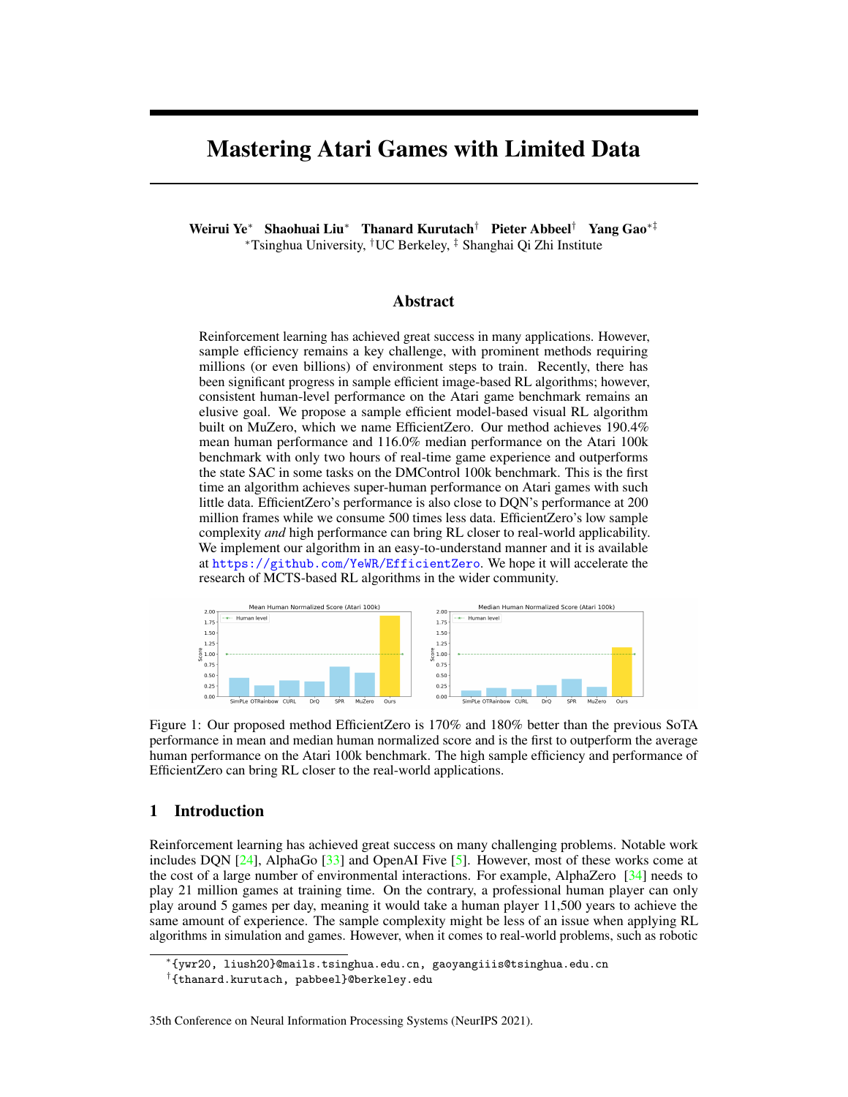# Mastering Atari Games with Limited Data

Weirui Ye<sup>∗</sup> Shaohuai Liu<sup>∗</sup> Thanard Kurutach† Pieter Abbeel† Yang Gao∗‡ <sup>∗</sup>Tsinghua University, †UC Berkeley, ‡ Shanghai Qi Zhi Institute

### Abstract

Reinforcement learning has achieved great success in many applications. However, sample efficiency remains a key challenge, with prominent methods requiring millions (or even billions) of environment steps to train. Recently, there has been significant progress in sample efficient image-based RL algorithms; however, consistent human-level performance on the Atari game benchmark remains an elusive goal. We propose a sample efficient model-based visual RL algorithm built on MuZero, which we name EfficientZero. Our method achieves 190.4% mean human performance and 116.0% median performance on the Atari 100k benchmark with only two hours of real-time game experience and outperforms the state SAC in some tasks on the DMControl 100k benchmark. This is the first time an algorithm achieves super-human performance on Atari games with such little data. EfficientZero's performance is also close to DQN's performance at 200 million frames while we consume 500 times less data. EfficientZero's low sample complexity *and* high performance can bring RL closer to real-world applicability. We implement our algorithm in an easy-to-understand manner and it is available at <https://github.com/YeWR/EfficientZero>. We hope it will accelerate the research of MCTS-based RL algorithms in the wider community.



<span id="page-0-0"></span>Figure 1: Our proposed method EfficientZero is 170% and 180% better than the previous SoTA performance in mean and median human normalized score and is the first to outperform the average human performance on the Atari 100k benchmark. The high sample efficiency and performance of EfficientZero can bring RL closer to the real-world applications.

# 1 Introduction

Reinforcement learning has achieved great success on many challenging problems. Notable work includes DQN [\[24\]](#page-11-0), AlphaGo [\[33\]](#page-12-0) and OpenAI Five [\[5\]](#page-10-0). However, most of these works come at the cost of a large number of environmental interactions. For example, AlphaZero [\[34\]](#page-12-1) needs to play 21 million games at training time. On the contrary, a professional human player can only play around 5 games per day, meaning it would take a human player 11,500 years to achieve the same amount of experience. The sample complexity might be less of an issue when applying RL algorithms in simulation and games. However, when it comes to real-world problems, such as robotic

<sup>∗</sup> {ywr20, liush20}@mails.tsinghua.edu.cn, gaoyangiiis@tsinghua.edu.cn

<sup>†</sup> {thanard.kurutach, pabbeel}@berkeley.edu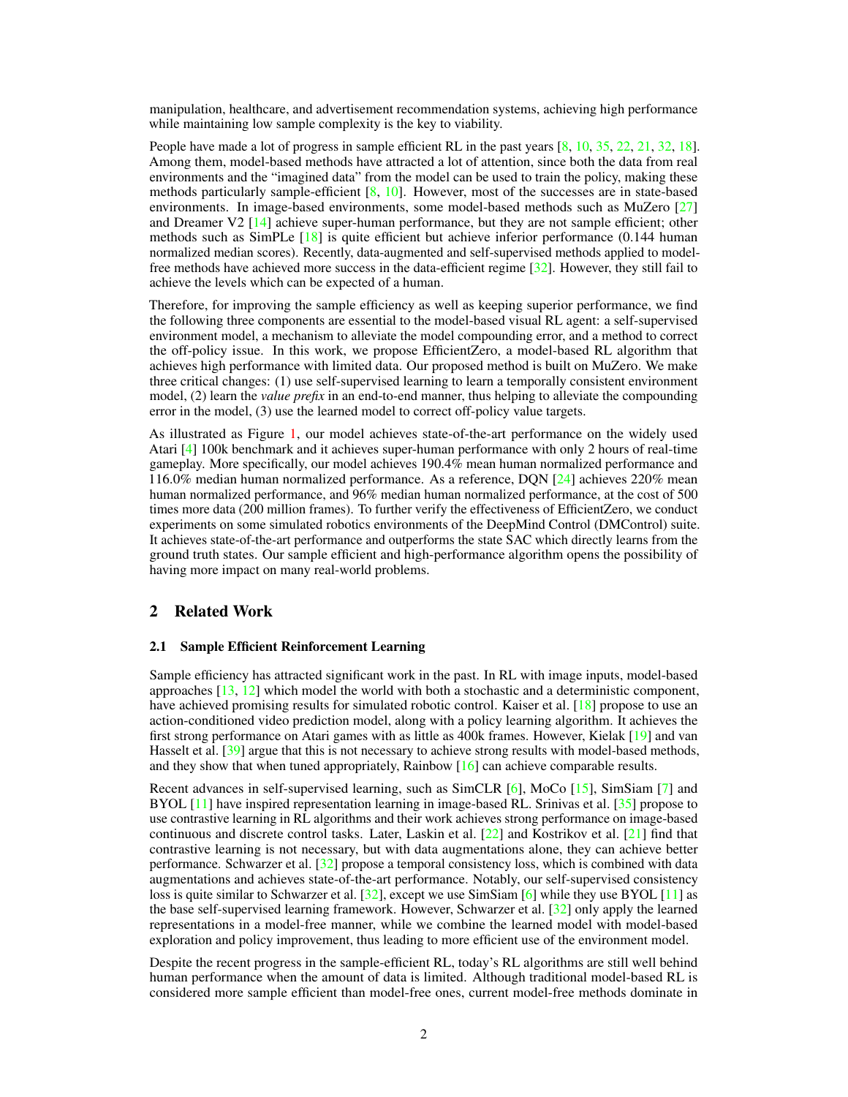manipulation, healthcare, and advertisement recommendation systems, achieving high performance while maintaining low sample complexity is the key to viability.

People have made a lot of progress in sample efficient RL in the past years [\[8,](#page-10-1) [10,](#page-10-2) [35,](#page-12-2) [22,](#page-11-1) [21,](#page-11-2) [32,](#page-11-3) [18\]](#page-11-4). Among them, model-based methods have attracted a lot of attention, since both the data from real environments and the "imagined data" from the model can be used to train the policy, making these methods particularly sample-efficient  $[8, 10]$  $[8, 10]$  $[8, 10]$ . However, most of the successes are in state-based environments. In image-based environments, some model-based methods such as MuZero [\[27\]](#page-11-5) and Dreamer V2 [\[14\]](#page-10-3) achieve super-human performance, but they are not sample efficient; other methods such as  $SimPLe [18]$  $SimPLe [18]$  is quite efficient but achieve inferior performance (0.144 human normalized median scores). Recently, data-augmented and self-supervised methods applied to modelfree methods have achieved more success in the data-efficient regime [\[32\]](#page-11-3). However, they still fail to achieve the levels which can be expected of a human.

Therefore, for improving the sample efficiency as well as keeping superior performance, we find the following three components are essential to the model-based visual RL agent: a self-supervised environment model, a mechanism to alleviate the model compounding error, and a method to correct the off-policy issue. In this work, we propose EfficientZero, a model-based RL algorithm that achieves high performance with limited data. Our proposed method is built on MuZero. We make three critical changes: (1) use self-supervised learning to learn a temporally consistent environment model, (2) learn the *value prefix* in an end-to-end manner, thus helping to alleviate the compounding error in the model, (3) use the learned model to correct off-policy value targets.

As illustrated as Figure [1,](#page-0-0) our model achieves state-of-the-art performance on the widely used Atari [\[4\]](#page-10-4) 100k benchmark and it achieves super-human performance with only 2 hours of real-time gameplay. More specifically, our model achieves 190.4% mean human normalized performance and 116.0% median human normalized performance. As a reference, DQN  $[24]$  achieves 220% mean human normalized performance, and 96% median human normalized performance, at the cost of 500 times more data (200 million frames). To further verify the effectiveness of EfficientZero, we conduct experiments on some simulated robotics environments of the DeepMind Control (DMControl) suite. It achieves state-of-the-art performance and outperforms the state SAC which directly learns from the ground truth states. Our sample efficient and high-performance algorithm opens the possibility of having more impact on many real-world problems.

# 2 Related Work

#### 2.1 Sample Efficient Reinforcement Learning

Sample efficiency has attracted significant work in the past. In RL with image inputs, model-based approaches [\[13,](#page-10-5) [12\]](#page-10-6) which model the world with both a stochastic and a deterministic component, have achieved promising results for simulated robotic control. Kaiser et al. [\[18\]](#page-11-4) propose to use an action-conditioned video prediction model, along with a policy learning algorithm. It achieves the first strong performance on Atari games with as little as 400k frames. However, Kielak [\[19\]](#page-11-6) and van Hasselt et al. [\[39\]](#page-12-3) argue that this is not necessary to achieve strong results with model-based methods, and they show that when tuned appropriately, Rainbow  $[16]$  can achieve comparable results.

Recent advances in self-supervised learning, such as SimCLR [\[6\]](#page-10-7), MoCo [\[15\]](#page-10-8), SimSiam [\[7\]](#page-10-9) and BYOL [\[11\]](#page-10-10) have inspired representation learning in image-based RL. Srinivas et al. [\[35\]](#page-12-2) propose to use contrastive learning in RL algorithms and their work achieves strong performance on image-based continuous and discrete control tasks. Later, Laskin et al.  $[22]$  and Kostrikov et al.  $[21]$  find that contrastive learning is not necessary, but with data augmentations alone, they can achieve better performance. Schwarzer et al. [\[32\]](#page-11-3) propose a temporal consistency loss, which is combined with data augmentations and achieves state-of-the-art performance. Notably, our self-supervised consistency loss is quite similar to Schwarzer et al. [\[32\]](#page-11-3), except we use SimSiam [\[6\]](#page-10-7) while they use BYOL [\[11\]](#page-10-10) as the base self-supervised learning framework. However, Schwarzer et al. [\[32\]](#page-11-3) only apply the learned representations in a model-free manner, while we combine the learned model with model-based exploration and policy improvement, thus leading to more efficient use of the environment model.

Despite the recent progress in the sample-efficient RL, today's RL algorithms are still well behind human performance when the amount of data is limited. Although traditional model-based RL is considered more sample efficient than model-free ones, current model-free methods dominate in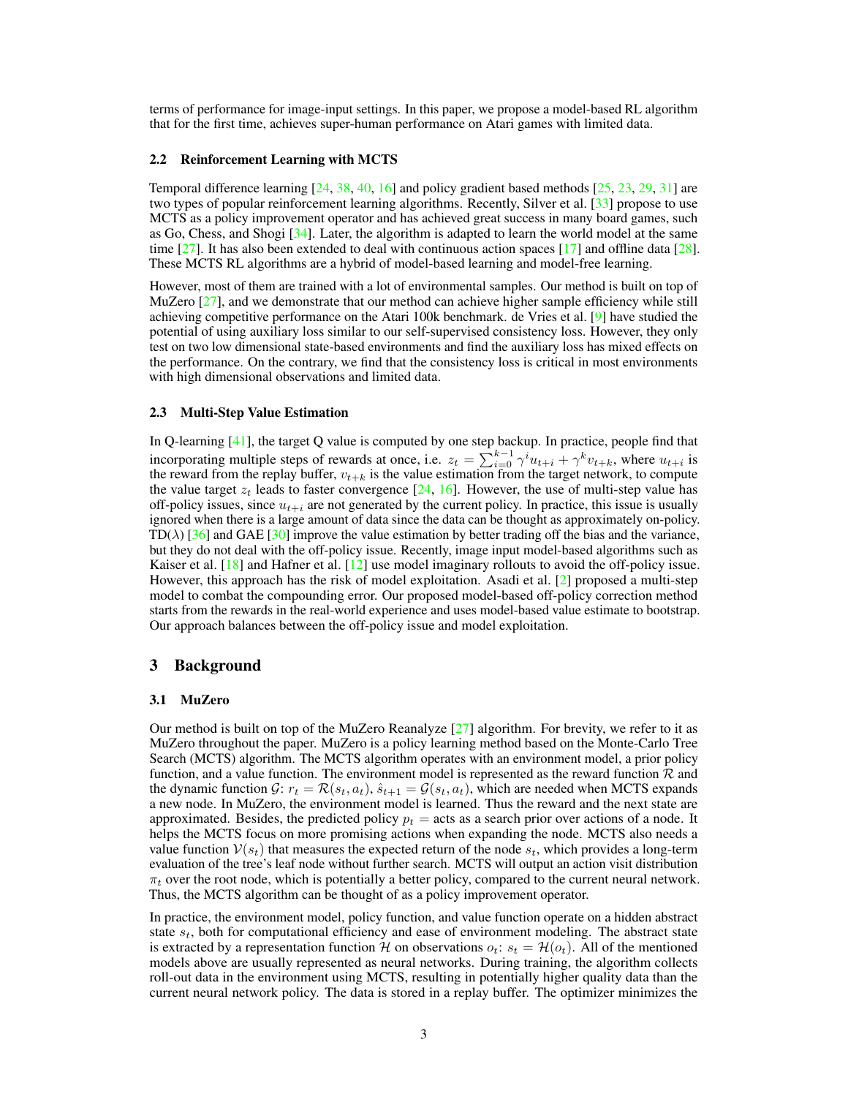terms of performance for image-input settings. In this paper, we propose a model-based RL algorithm that for the first time, achieves super-human performance on Atari games with limited data.

#### 2.2 Reinforcement Learning with MCTS

Temporal difference learning [\[24,](#page-11-0) [38,](#page-12-4) [40,](#page-12-5) [16\]](#page-11-7) and policy gradient based methods [\[25,](#page-11-8) [23,](#page-11-9) [29,](#page-11-10) [31\]](#page-11-11) are two types of popular reinforcement learning algorithms. Recently, Silver et al. [\[33\]](#page-12-0) propose to use MCTS as a policy improvement operator and has achieved great success in many board games, such as Go, Chess, and Shogi [\[34\]](#page-12-1). Later, the algorithm is adapted to learn the world model at the same time [\[27\]](#page-11-5). It has also been extended to deal with continuous action spaces [\[17\]](#page-11-12) and offline data [\[28\]](#page-11-13). These MCTS RL algorithms are a hybrid of model-based learning and model-free learning.

However, most of them are trained with a lot of environmental samples. Our method is built on top of MuZero [\[27\]](#page-11-5), and we demonstrate that our method can achieve higher sample efficiency while still achieving competitive performance on the Atari 100k benchmark. de Vries et al. [\[9\]](#page-10-11) have studied the potential of using auxiliary loss similar to our self-supervised consistency loss. However, they only test on two low dimensional state-based environments and find the auxiliary loss has mixed effects on the performance. On the contrary, we find that the consistency loss is critical in most environments with high dimensional observations and limited data.

#### 2.3 Multi-Step Value Estimation

In Q-learning [\[41\]](#page-12-6), the target Q value is computed by one step backup. In practice, people find that incorporating multiple steps of rewards at once, i.e.  $z_t = \sum_{i=0}^{k-1} \gamma^i u_{t+i} + \gamma^k v_{t+k}$ , where  $u_{t+i}$  is the reward from the replay buffer,  $v_{t+k}$  is the value estimation from the target network, to compute the value target  $z_t$  leads to faster convergence  $[24, 16]$  $[24, 16]$  $[24, 16]$ . However, the use of multi-step value has off-policy issues, since  $u_{t+i}$  are not generated by the current policy. In practice, this issue is usually ignored when there is a large amount of data since the data can be thought as approximately on-policy. TD( $\lambda$ ) [\[36\]](#page-12-7) and GAE [\[30\]](#page-11-14) improve the value estimation by better trading off the bias and the variance, but they do not deal with the off-policy issue. Recently, image input model-based algorithms such as Kaiser et al. [\[18\]](#page-11-4) and Hafner et al. [\[12\]](#page-10-6) use model imaginary rollouts to avoid the off-policy issue. However, this approach has the risk of model exploitation. Asadi et al. [\[2\]](#page-10-12) proposed a multi-step model to combat the compounding error. Our proposed model-based off-policy correction method starts from the rewards in the real-world experience and uses model-based value estimate to bootstrap. Our approach balances between the off-policy issue and model exploitation.

## 3 Background

#### 3.1 MuZero

Our method is built on top of the MuZero Reanalyze  $[27]$  algorithm. For brevity, we refer to it as MuZero throughout the paper. MuZero is a policy learning method based on the Monte-Carlo Tree Search (MCTS) algorithm. The MCTS algorithm operates with an environment model, a prior policy function, and a value function. The environment model is represented as the reward function  $\mathcal{R}$  and the dynamic function  $\mathcal{G}: r_t = \mathcal{R}(s_t, a_t), \hat{s}_{t+1} = \mathcal{G}(s_t, a_t)$ , which are needed when MCTS expands a new node. In MuZero, the environment model is learned. Thus the reward and the next state are approximated. Besides, the predicted policy  $p_t$  = acts as a search prior over actions of a node. It helps the MCTS focus on more promising actions when expanding the node. MCTS also needs a value function  $V(s_t)$  that measures the expected return of the node  $s_t$ , which provides a long-term evaluation of the tree's leaf node without further search. MCTS will output an action visit distribution  $\pi_t$  over the root node, which is potentially a better policy, compared to the current neural network. Thus, the MCTS algorithm can be thought of as a policy improvement operator.

In practice, the environment model, policy function, and value function operate on a hidden abstract state  $s_t$ , both for computational efficiency and ease of environment modeling. The abstract state is extracted by a representation function H on observations  $o_t$ :  $s_t = H(o_t)$ . All of the mentioned models above are usually represented as neural networks. During training, the algorithm collects roll-out data in the environment using MCTS, resulting in potentially higher quality data than the current neural network policy. The data is stored in a replay buffer. The optimizer minimizes the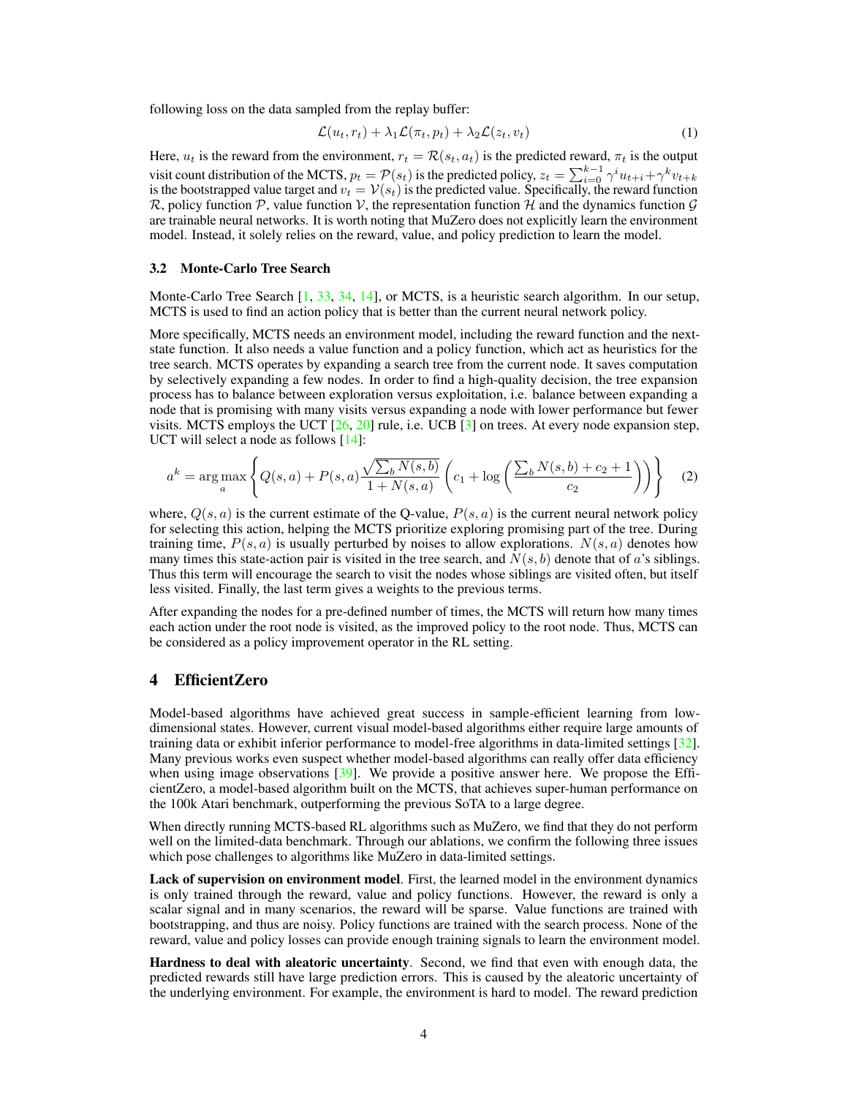following loss on the data sampled from the replay buffer:

$$
\mathcal{L}(u_t, r_t) + \lambda_1 \mathcal{L}(\pi_t, p_t) + \lambda_2 \mathcal{L}(z_t, v_t)
$$
\n<sup>(1)</sup>

Here,  $u_t$  is the reward from the environment,  $r_t = \mathcal{R}(s_t, a_t)$  is the predicted reward,  $\pi_t$  is the output visit count distribution of the MCTS,  $p_t = \mathcal{P}(s_t)$  is the predicted policy,  $z_t = \sum_{i=0}^{k-1} \gamma^i u_{t+i} + \gamma^k v_{t+k}$ is the bootstrapped value target and  $v_t = V(s_t)$  is the predicted value. Specifically, the reward function  $\mathcal{R}$ , policy function  $\mathcal{P}$ , value function  $\mathcal{V}$ , the representation function  $\mathcal{H}$  and the dynamics function  $\mathcal{G}$ are trainable neural networks. It is worth noting that MuZero does not explicitly learn the environment model. Instead, it solely relies on the reward, value, and policy prediction to learn the model.

#### 3.2 Monte-Carlo Tree Search

Monte-Carlo Tree Search [\[1,](#page-10-13) [33,](#page-12-0) [34,](#page-12-1) [14\]](#page-10-3), or MCTS, is a heuristic search algorithm. In our setup, MCTS is used to find an action policy that is better than the current neural network policy.

More specifically, MCTS needs an environment model, including the reward function and the nextstate function. It also needs a value function and a policy function, which act as heuristics for the tree search. MCTS operates by expanding a search tree from the current node. It saves computation by selectively expanding a few nodes. In order to find a high-quality decision, the tree expansion process has to balance between exploration versus exploitation, i.e. balance between expanding a node that is promising with many visits versus expanding a node with lower performance but fewer visits. MCTS employs the UCT  $[26, 20]$  $[26, 20]$  $[26, 20]$  rule, i.e. UCB  $[3]$  on trees. At every node expansion step, UCT will select a node as follows [\[14\]](#page-10-3):

<span id="page-3-0"></span>
$$
a^{k} = \arg \max_{a} \left\{ Q(s, a) + P(s, a) \frac{\sqrt{\sum_{b} N(s, b)}}{1 + N(s, a)} \left( c_{1} + \log \left( \frac{\sum_{b} N(s, b) + c_{2} + 1}{c_{2}} \right) \right) \right\}
$$
(2)

where,  $Q(s, a)$  is the current estimate of the Q-value,  $P(s, a)$  is the current neural network policy for selecting this action, helping the MCTS prioritize exploring promising part of the tree. During training time,  $P(s, a)$  is usually perturbed by noises to allow explorations.  $N(s, a)$  denotes how many times this state-action pair is visited in the tree search, and  $N(s, b)$  denote that of a's siblings. Thus this term will encourage the search to visit the nodes whose siblings are visited often, but itself less visited. Finally, the last term gives a weights to the previous terms.

After expanding the nodes for a pre-defined number of times, the MCTS will return how many times each action under the root node is visited, as the improved policy to the root node. Thus, MCTS can be considered as a policy improvement operator in the RL setting.

## <span id="page-3-1"></span>4 EfficientZero

Model-based algorithms have achieved great success in sample-efficient learning from lowdimensional states. However, current visual model-based algorithms either require large amounts of training data or exhibit inferior performance to model-free algorithms in data-limited settings [\[32\]](#page-11-3). Many previous works even suspect whether model-based algorithms can really offer data efficiency when using image observations [\[39\]](#page-12-3). We provide a positive answer here. We propose the EfficientZero, a model-based algorithm built on the MCTS, that achieves super-human performance on the 100k Atari benchmark, outperforming the previous SoTA to a large degree.

When directly running MCTS-based RL algorithms such as MuZero, we find that they do not perform well on the limited-data benchmark. Through our ablations, we confirm the following three issues which pose challenges to algorithms like MuZero in data-limited settings.

Lack of supervision on environment model. First, the learned model in the environment dynamics is only trained through the reward, value and policy functions. However, the reward is only a scalar signal and in many scenarios, the reward will be sparse. Value functions are trained with bootstrapping, and thus are noisy. Policy functions are trained with the search process. None of the reward, value and policy losses can provide enough training signals to learn the environment model.

Hardness to deal with aleatoric uncertainty. Second, we find that even with enough data, the predicted rewards still have large prediction errors. This is caused by the aleatoric uncertainty of the underlying environment. For example, the environment is hard to model. The reward prediction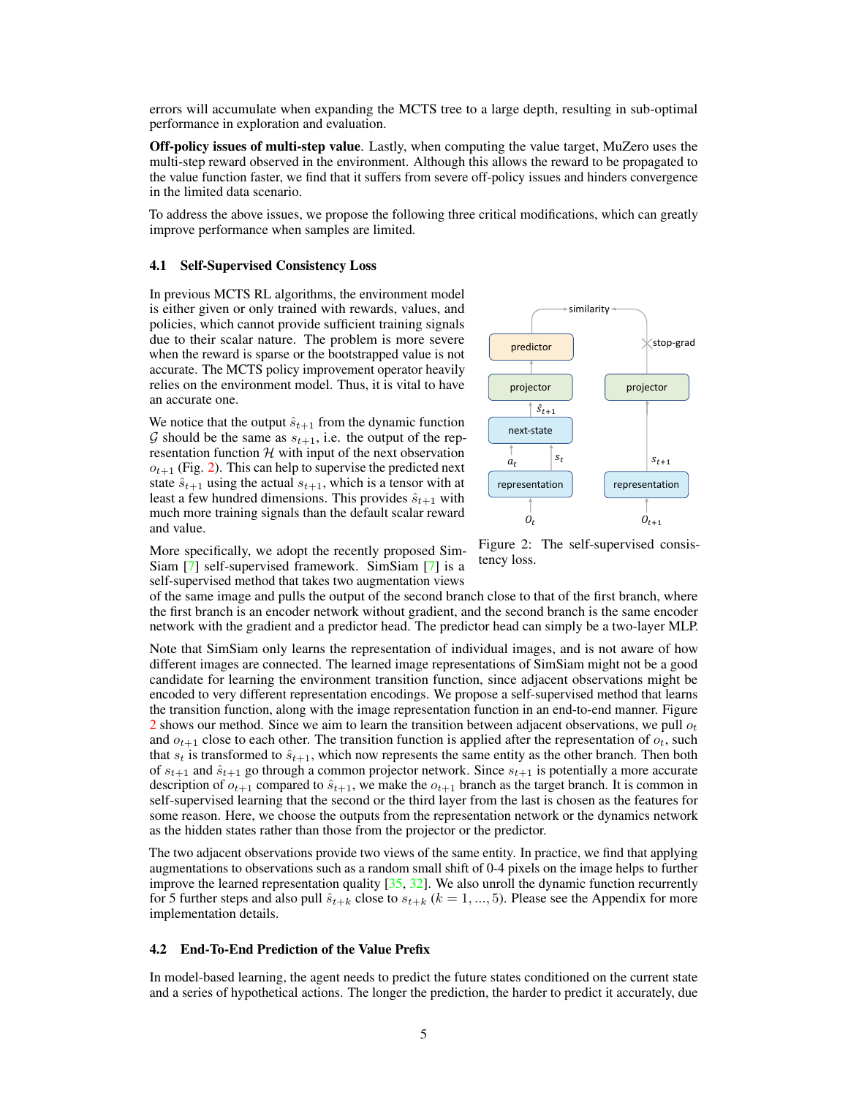errors will accumulate when expanding the MCTS tree to a large depth, resulting in sub-optimal performance in exploration and evaluation.

Off-policy issues of multi-step value. Lastly, when computing the value target, MuZero uses the multi-step reward observed in the environment. Although this allows the reward to be propagated to the value function faster, we find that it suffers from severe off-policy issues and hinders convergence in the limited data scenario.

To address the above issues, we propose the following three critical modifications, which can greatly improve performance when samples are limited.

#### 4.1 Self-Supervised Consistency Loss

In previous MCTS RL algorithms, the environment model is either given or only trained with rewards, values, and policies, which cannot provide sufficient training signals due to their scalar nature. The problem is more severe when the reward is sparse or the bootstrapped value is not accurate. The MCTS policy improvement operator heavily relies on the environment model. Thus, it is vital to have an accurate one.

We notice that the output  $\hat{s}_{t+1}$  from the dynamic function G should be the same as  $s_{t+1}$ , i.e. the output of the representation function  $H$  with input of the next observation  $o_{t+1}$  (Fig. [2\)](#page-4-0). This can help to supervise the predicted next state  $\hat{s}_{t+1}$  using the actual  $s_{t+1}$ , which is a tensor with at least a few hundred dimensions. This provides  $\hat{s}_{t+1}$  with much more training signals than the default scalar reward and value.

<span id="page-4-0"></span>

tency loss. More specifically, we adopt the recently proposed Sim-Siam [\[7\]](#page-10-9) self-supervised framework. SimSiam [\[7\]](#page-10-9) is a self-supervised method that takes two augmentation views

of the same image and pulls the output of the second branch close to that of the first branch, where the first branch is an encoder network without gradient, and the second branch is the same encoder network with the gradient and a predictor head. The predictor head can simply be a two-layer MLP.

Note that SimSiam only learns the representation of individual images, and is not aware of how different images are connected. The learned image representations of SimSiam might not be a good candidate for learning the environment transition function, since adjacent observations might be encoded to very different representation encodings. We propose a self-supervised method that learns the transition function, along with the image representation function in an end-to-end manner. Figure [2](#page-4-0) shows our method. Since we aim to learn the transition between adjacent observations, we pull  $o_t$ and  $o_{t+1}$  close to each other. The transition function is applied after the representation of  $o_t$ , such that  $s_t$  is transformed to  $\hat{s}_{t+1}$ , which now represents the same entity as the other branch. Then both of  $s_{t+1}$  and  $\hat{s}_{t+1}$  go through a common projector network. Since  $s_{t+1}$  is potentially a more accurate description of  $o_{t+1}$  compared to  $\hat{s}_{t+1}$ , we make the  $o_{t+1}$  branch as the target branch. It is common in self-supervised learning that the second or the third layer from the last is chosen as the features for some reason. Here, we choose the outputs from the representation network or the dynamics network as the hidden states rather than those from the projector or the predictor.

The two adjacent observations provide two views of the same entity. In practice, we find that applying augmentations to observations such as a random small shift of 0-4 pixels on the image helps to further improve the learned representation quality  $[35, 32]$  $[35, 32]$  $[35, 32]$ . We also unroll the dynamic function recurrently for 5 further steps and also pull  $\hat{s}_{t+k}$  close to  $s_{t+k}$  ( $k = 1, ..., 5$ ). Please see the Appendix for more implementation details.

#### 4.2 End-To-End Prediction of the Value Prefix

In model-based learning, the agent needs to predict the future states conditioned on the current state and a series of hypothetical actions. The longer the prediction, the harder to predict it accurately, due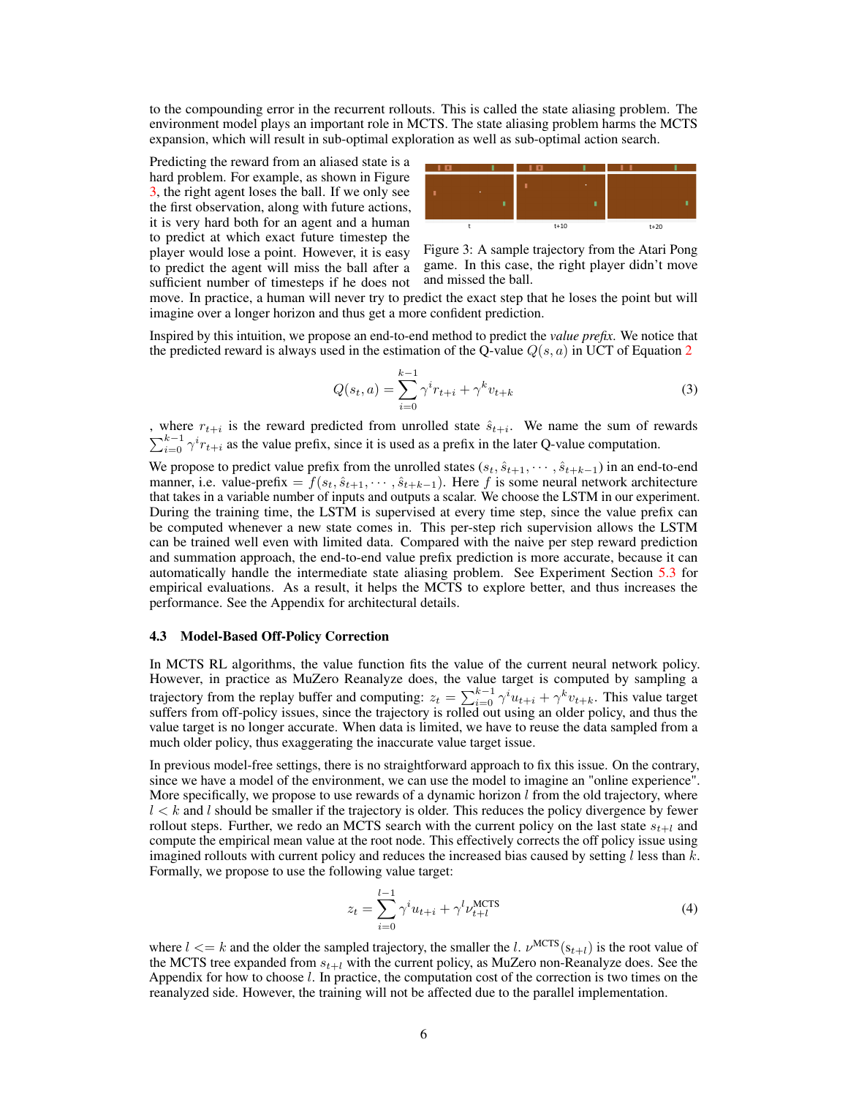to the compounding error in the recurrent rollouts. This is called the state aliasing problem. The environment model plays an important role in MCTS. The state aliasing problem harms the MCTS expansion, which will result in sub-optimal exploration as well as sub-optimal action search.

Predicting the reward from an aliased state is a hard problem. For example, as shown in Figure [3,](#page-5-0) the right agent loses the ball. If we only see the first observation, along with future actions, it is very hard both for an agent and a human to predict at which exact future timestep the player would lose a point. However, it is easy to predict the agent will miss the ball after a sufficient number of timesteps if he does not

![](_page_5_Figure_2.jpeg)

<span id="page-5-0"></span>Figure 3: A sample trajectory from the Atari Pong game. In this case, the right player didn't move and missed the ball.

move. In practice, a human will never try to predict the exact step that he loses the point but will imagine over a longer horizon and thus get a more confident prediction.

Inspired by this intuition, we propose an end-to-end method to predict the *value prefix*. We notice that the predicted reward is always used in the estimation of the Q-value  $Q(s, a)$  in UCT of Equation [2](#page-3-0)

$$
Q(s_t, a) = \sum_{i=0}^{k-1} \gamma^i r_{t+i} + \gamma^k v_{t+k}
$$
 (3)

, where  $r_{t+i}$  is the reward predicted from unrolled state  $\hat{s}_{t+i}$ . We name the sum of rewards  $\sum_{i=0}^{k-1} \gamma^i r_{t+i}$  as the value prefix, since it is used as a prefix in the later Q-value computation.

We propose to predict value prefix from the unrolled states  $(s_t, \hat{s}_{t+1}, \dots, \hat{s}_{t+k-1})$  in an end-to-end manner, i.e. value-prefix =  $f(s_t, \hat{s}_{t+1}, \dots, \hat{s}_{t+k-1})$ . Here f is some neural network architecture that takes in a variable number of inputs and outputs a scalar. We choose the LSTM in our experiment. During the training time, the LSTM is supervised at every time step, since the value prefix can be computed whenever a new state comes in. This per-step rich supervision allows the LSTM can be trained well even with limited data. Compared with the naive per step reward prediction and summation approach, the end-to-end value prefix prediction is more accurate, because it can automatically handle the intermediate state aliasing problem. See Experiment Section [5.3](#page-9-0) for empirical evaluations. As a result, it helps the MCTS to explore better, and thus increases the performance. See the Appendix for architectural details.

#### 4.3 Model-Based Off-Policy Correction

In MCTS RL algorithms, the value function fits the value of the current neural network policy. However, in practice as MuZero Reanalyze does, the value target is computed by sampling a trajectory from the replay buffer and computing:  $z_t = \sum_{i=0}^{k-1} \gamma^i u_{t+i} + \gamma^k v_{t+k}$ . This value target suffers from off-policy issues, since the trajectory is rolled out using an older policy, and thus the value target is no longer accurate. When data is limited, we have to reuse the data sampled from a much older policy, thus exaggerating the inaccurate value target issue.

In previous model-free settings, there is no straightforward approach to fix this issue. On the contrary, since we have a model of the environment, we can use the model to imagine an "online experience". More specifically, we propose to use rewards of a dynamic horizon  $l$  from the old trajectory, where  $l < k$  and l should be smaller if the trajectory is older. This reduces the policy divergence by fewer rollout steps. Further, we redo an MCTS search with the current policy on the last state  $s_{t+1}$  and compute the empirical mean value at the root node. This effectively corrects the off policy issue using imagined rollouts with current policy and reduces the increased bias caused by setting  $l$  less than  $k$ . Formally, we propose to use the following value target:

<span id="page-5-1"></span>
$$
z_t = \sum_{i=0}^{l-1} \gamma^i u_{t+i} + \gamma^l \nu_{t+l}^{\text{MCTS}} \tag{4}
$$

where  $l \le k$  and the older the sampled trajectory, the smaller the l.  $\nu^{\text{MCTS}}(s_{t+l})$  is the root value of the MCTS tree expanded from  $s_{t+1}$  with the current policy, as MuZero non-Reanalyze does. See the Appendix for how to choose l. In practice, the computation cost of the correction is two times on the reanalyzed side. However, the training will not be affected due to the parallel implementation.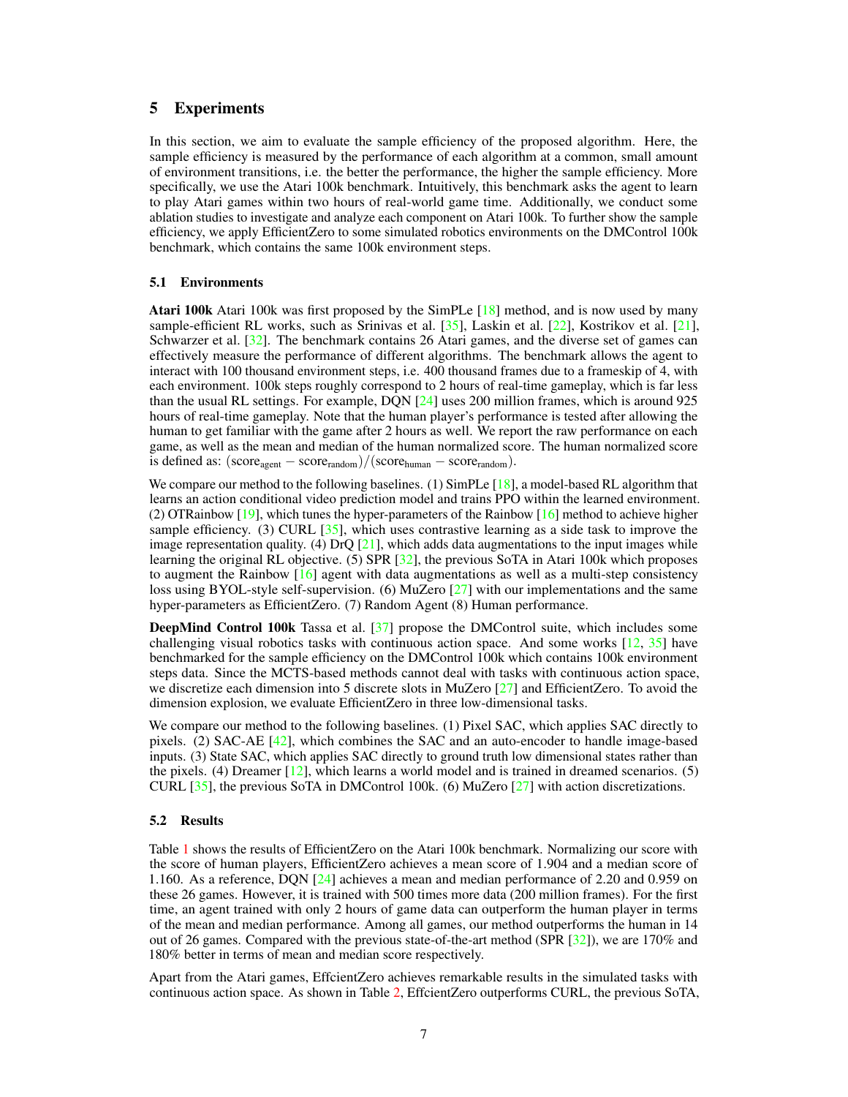# 5 Experiments

In this section, we aim to evaluate the sample efficiency of the proposed algorithm. Here, the sample efficiency is measured by the performance of each algorithm at a common, small amount of environment transitions, i.e. the better the performance, the higher the sample efficiency. More specifically, we use the Atari 100k benchmark. Intuitively, this benchmark asks the agent to learn to play Atari games within two hours of real-world game time. Additionally, we conduct some ablation studies to investigate and analyze each component on Atari 100k. To further show the sample efficiency, we apply EfficientZero to some simulated robotics environments on the DMControl 100k benchmark, which contains the same 100k environment steps.

#### 5.1 Environments

Atari 100k Atari 100k was first proposed by the SimPLe [\[18\]](#page-11-4) method, and is now used by many sample-efficient RL works, such as Srinivas et al. [\[35\]](#page-12-2), Laskin et al. [\[22\]](#page-11-1), Kostrikov et al. [\[21\]](#page-11-2), Schwarzer et al. [\[32\]](#page-11-3). The benchmark contains 26 Atari games, and the diverse set of games can effectively measure the performance of different algorithms. The benchmark allows the agent to interact with 100 thousand environment steps, i.e. 400 thousand frames due to a frameskip of 4, with each environment. 100k steps roughly correspond to 2 hours of real-time gameplay, which is far less than the usual RL settings. For example, DQN [\[24\]](#page-11-0) uses 200 million frames, which is around 925 hours of real-time gameplay. Note that the human player's performance is tested after allowing the human to get familiar with the game after 2 hours as well. We report the raw performance on each game, as well as the mean and median of the human normalized score. The human normalized score is defined as:  $(\text{score}_{\text{agent}} - \text{score}_{\text{random}})/( \text{score}_{\text{human}} - \text{score}_{\text{random}}).$ 

We compare our method to the following baselines. (1) SimPLe [\[18\]](#page-11-4), a model-based RL algorithm that learns an action conditional video prediction model and trains PPO within the learned environment. (2) OTRainbow [\[19\]](#page-11-6), which tunes the hyper-parameters of the Rainbow [\[16\]](#page-11-7) method to achieve higher sample efficiency. (3) CURL  $[35]$ , which uses contrastive learning as a side task to improve the image representation quality. (4) DrO  $[21]$ , which adds data augmentations to the input images while learning the original RL objective. (5) SPR [\[32\]](#page-11-3), the previous SoTA in Atari 100k which proposes to augment the Rainbow [\[16\]](#page-11-7) agent with data augmentations as well as a multi-step consistency loss using BYOL-style self-supervision. (6) MuZero [\[27\]](#page-11-5) with our implementations and the same hyper-parameters as EfficientZero. (7) Random Agent (8) Human performance.

DeepMind Control 100k Tassa et al. [\[37\]](#page-12-8) propose the DMControl suite, which includes some challenging visual robotics tasks with continuous action space. And some works [\[12,](#page-10-6) [35\]](#page-12-2) have benchmarked for the sample efficiency on the DMControl 100k which contains 100k environment steps data. Since the MCTS-based methods cannot deal with tasks with continuous action space, we discretize each dimension into 5 discrete slots in MuZero [\[27\]](#page-11-5) and EfficientZero. To avoid the dimension explosion, we evaluate EfficientZero in three low-dimensional tasks.

We compare our method to the following baselines. (1) Pixel SAC, which applies SAC directly to pixels. (2) SAC-AE [\[42\]](#page-12-9), which combines the SAC and an auto-encoder to handle image-based inputs. (3) State SAC, which applies SAC directly to ground truth low dimensional states rather than the pixels. (4) Dreamer  $[12]$ , which learns a world model and is trained in dreamed scenarios. (5) CURL [\[35\]](#page-12-2), the previous SoTA in DMControl 100k. (6) MuZero [\[27\]](#page-11-5) with action discretizations.

#### 5.2 Results

Table [1](#page-7-0) shows the results of EfficientZero on the Atari 100k benchmark. Normalizing our score with the score of human players, EfficientZero achieves a mean score of 1.904 and a median score of 1.160. As a reference, DQN [\[24\]](#page-11-0) achieves a mean and median performance of 2.20 and 0.959 on these 26 games. However, it is trained with 500 times more data (200 million frames). For the first time, an agent trained with only 2 hours of game data can outperform the human player in terms of the mean and median performance. Among all games, our method outperforms the human in 14 out of 26 games. Compared with the previous state-of-the-art method (SPR [\[32\]](#page-11-3)), we are 170% and 180% better in terms of mean and median score respectively.

Apart from the Atari games, EffcientZero achieves remarkable results in the simulated tasks with continuous action space. As shown in Table [2,](#page-7-1) EffcientZero outperforms CURL, the previous SoTA,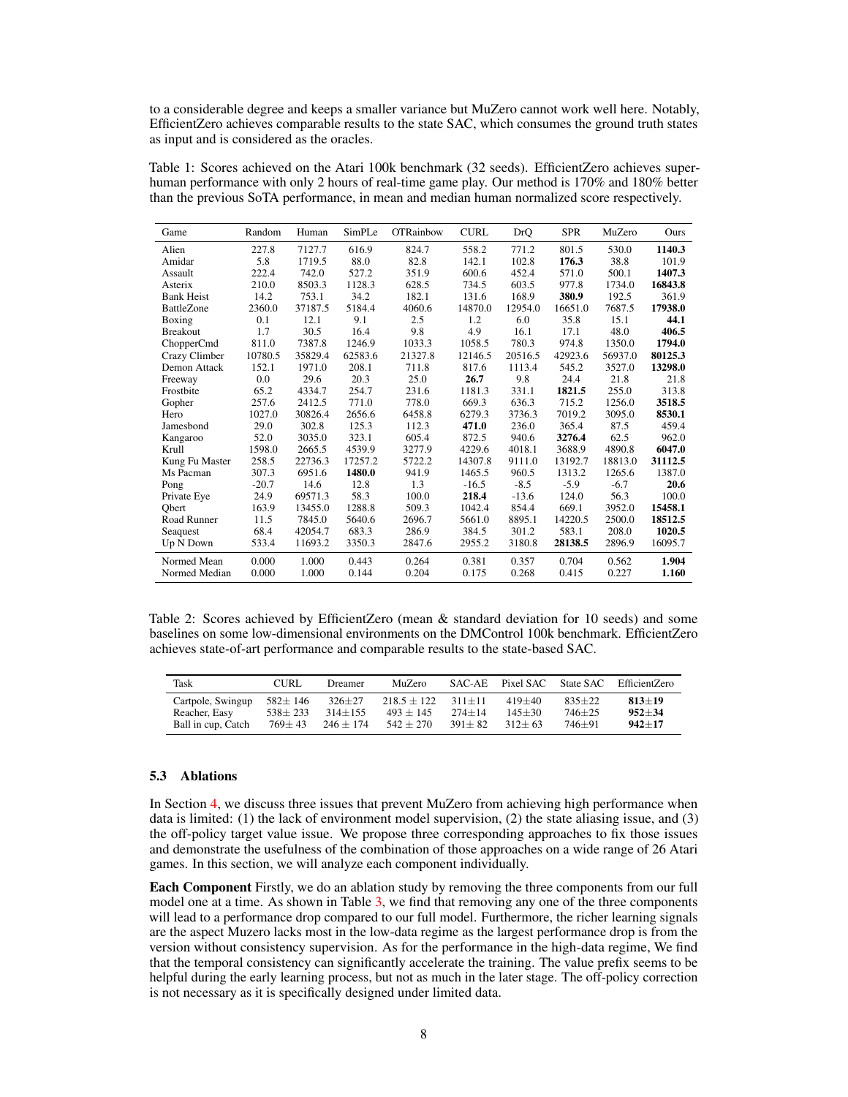to a considerable degree and keeps a smaller variance but MuZero cannot work well here. Notably, EfficientZero achieves comparable results to the state SAC, which consumes the ground truth states as input and is considered as the oracles.

<span id="page-7-0"></span>Table 1: Scores achieved on the Atari 100k benchmark (32 seeds). EfficientZero achieves superhuman performance with only 2 hours of real-time game play. Our method is 170% and 180% better than the previous SoTA performance, in mean and median human normalized score respectively.

| Game              | Random  | Human   | SimPLe  | <b>OTRainbow</b> | <b>CURL</b> | DrO     | <b>SPR</b> | MuZero  | Ours    |
|-------------------|---------|---------|---------|------------------|-------------|---------|------------|---------|---------|
| Alien             | 227.8   | 7127.7  | 616.9   | 824.7            | 558.2       | 771.2   | 801.5      | 530.0   | 1140.3  |
| Amidar            | 5.8     | 1719.5  | 88.0    | 82.8             | 142.1       | 102.8   | 176.3      | 38.8    | 101.9   |
| Assault           | 222.4   | 742.0   | 527.2   | 351.9            | 600.6       | 452.4   | 571.0      | 500.1   | 1407.3  |
| Asterix           | 210.0   | 8503.3  | 1128.3  | 628.5            | 734.5       | 603.5   | 977.8      | 1734.0  | 16843.8 |
| <b>Bank Heist</b> | 14.2    | 753.1   | 34.2    | 182.1            | 131.6       | 168.9   | 380.9      | 192.5   | 361.9   |
| <b>BattleZone</b> | 2360.0  | 37187.5 | 5184.4  | 4060.6           | 14870.0     | 12954.0 | 16651.0    | 7687.5  | 17938.0 |
| Boxing            | 0.1     | 12.1    | 9.1     | 2.5              | 1.2         | 6.0     | 35.8       | 15.1    | 44.1    |
| <b>Breakout</b>   | 1.7     | 30.5    | 16.4    | 9.8              | 4.9         | 16.1    | 17.1       | 48.0    | 406.5   |
| ChopperCmd        | 811.0   | 7387.8  | 1246.9  | 1033.3           | 1058.5      | 780.3   | 974.8      | 1350.0  | 1794.0  |
| Crazy Climber     | 10780.5 | 35829.4 | 62583.6 | 21327.8          | 12146.5     | 20516.5 | 42923.6    | 56937.0 | 80125.3 |
| Demon Attack      | 152.1   | 1971.0  | 208.1   | 711.8            | 817.6       | 1113.4  | 545.2      | 3527.0  | 13298.0 |
| Freeway           | 0.0     | 29.6    | 20.3    | 25.0             | 26.7        | 9.8     | 24.4       | 21.8    | 21.8    |
| Frostbite         | 65.2    | 4334.7  | 254.7   | 231.6            | 1181.3      | 331.1   | 1821.5     | 255.0   | 313.8   |
| Gopher            | 257.6   | 2412.5  | 771.0   | 778.0            | 669.3       | 636.3   | 715.2      | 1256.0  | 3518.5  |
| Hero              | 1027.0  | 30826.4 | 2656.6  | 6458.8           | 6279.3      | 3736.3  | 7019.2     | 3095.0  | 8530.1  |
| Jamesbond         | 29.0    | 302.8   | 125.3   | 112.3            | 471.0       | 236.0   | 365.4      | 87.5    | 459.4   |
| Kangaroo          | 52.0    | 3035.0  | 323.1   | 605.4            | 872.5       | 940.6   | 3276.4     | 62.5    | 962.0   |
| Krull             | 1598.0  | 2665.5  | 4539.9  | 3277.9           | 4229.6      | 4018.1  | 3688.9     | 4890.8  | 6047.0  |
| Kung Fu Master    | 258.5   | 22736.3 | 17257.2 | 5722.2           | 14307.8     | 9111.0  | 13192.7    | 18813.0 | 31112.5 |
| Ms Pacman         | 307.3   | 6951.6  | 1480.0  | 941.9            | 1465.5      | 960.5   | 1313.2     | 1265.6  | 1387.0  |
| Pong              | $-20.7$ | 14.6    | 12.8    | 1.3              | $-16.5$     | $-8.5$  | $-5.9$     | $-6.7$  | 20.6    |
| Private Eye       | 24.9    | 69571.3 | 58.3    | 100.0            | 218.4       | $-13.6$ | 124.0      | 56.3    | 100.0   |
| Obert             | 163.9   | 13455.0 | 1288.8  | 509.3            | 1042.4      | 854.4   | 669.1      | 3952.0  | 15458.1 |
| Road Runner       | 11.5    | 7845.0  | 5640.6  | 2696.7           | 5661.0      | 8895.1  | 14220.5    | 2500.0  | 18512.5 |
| Seaquest          | 68.4    | 42054.7 | 683.3   | 286.9            | 384.5       | 301.2   | 583.1      | 208.0   | 1020.5  |
| Up N Down         | 533.4   | 11693.2 | 3350.3  | 2847.6           | 2955.2      | 3180.8  | 28138.5    | 2896.9  | 16095.7 |
| Normed Mean       | 0.000   | 1.000   | 0.443   | 0.264            | 0.381       | 0.357   | 0.704      | 0.562   | 1.904   |
| Normed Median     | 0.000   | 1.000   | 0.144   | 0.204            | 0.175       | 0.268   | 0.415      | 0.227   | 1.160   |

<span id="page-7-1"></span>Table 2: Scores achieved by EfficientZero (mean & standard deviation for 10 seeds) and some baselines on some low-dimensional environments on the DMControl 100k benchmark. EfficientZero achieves state-of-art performance and comparable results to the state-based SAC.

| Task               | CURL          | <b>Dreamer</b> | MuZero          | SAC-AE     | Pixel SAC  | State SAC  | EfficientZero |
|--------------------|---------------|----------------|-----------------|------------|------------|------------|---------------|
| Cartpole, Swingup  | $582 \pm 146$ | $326 \pm 27$   | $218.5 \pm 122$ | $311 + 11$ | $419+40$   | $835+22$   | $813+19$      |
| Reacher, Easy      | $538 + 233$   | $314 + 155$    | $493 + 145$     | $274 + 14$ | $145 + 30$ | $746 + 25$ | $952 + 34$    |
| Ball in cup, Catch | $769 \pm 43$  | $246 + 174$    | $542 + 270$     | $391 + 82$ | $312+63$   | $746 + 91$ | $942 + 17$    |

# 5.3 Ablations

In Section [4,](#page-3-1) we discuss three issues that prevent MuZero from achieving high performance when data is limited: (1) the lack of environment model supervision, (2) the state aliasing issue, and (3) the off-policy target value issue. We propose three corresponding approaches to fix those issues and demonstrate the usefulness of the combination of those approaches on a wide range of 26 Atari games. In this section, we will analyze each component individually.

Each Component Firstly, we do an ablation study by removing the three components from our full model one at a time. As shown in Table [3,](#page-8-0) we find that removing any one of the three components will lead to a performance drop compared to our full model. Furthermore, the richer learning signals are the aspect Muzero lacks most in the low-data regime as the largest performance drop is from the version without consistency supervision. As for the performance in the high-data regime, We find that the temporal consistency can significantly accelerate the training. The value prefix seems to be helpful during the early learning process, but not as much in the later stage. The off-policy correction is not necessary as it is specifically designed under limited data.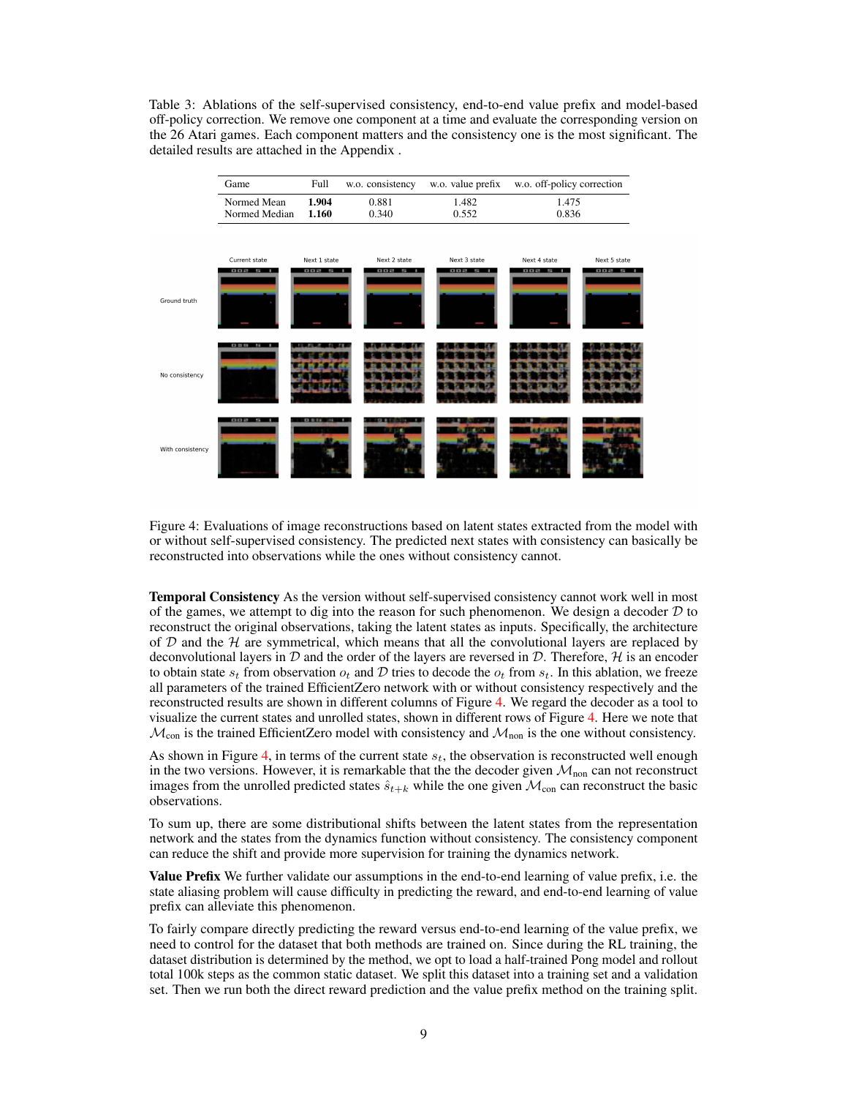<span id="page-8-0"></span>Table 3: Ablations of the self-supervised consistency, end-to-end value prefix and model-based off-policy correction. We remove one component at a time and evaluate the corresponding version on the 26 Atari games. Each component matters and the consistency one is the most significant. The detailed results are attached in the Appendix .

![](_page_8_Figure_1.jpeg)

<span id="page-8-1"></span>Figure 4: Evaluations of image reconstructions based on latent states extracted from the model with or without self-supervised consistency. The predicted next states with consistency can basically be reconstructed into observations while the ones without consistency cannot.

Temporal Consistency As the version without self-supervised consistency cannot work well in most of the games, we attempt to dig into the reason for such phenomenon. We design a decoder  $D$  to reconstruct the original observations, taking the latent states as inputs. Specifically, the architecture of  $D$  and the  $H$  are symmetrical, which means that all the convolutional layers are replaced by deconvolutional layers in  $D$  and the order of the layers are reversed in  $D$ . Therefore,  $H$  is an encoder to obtain state  $s_t$  from observation  $o_t$  and D tries to decode the  $o_t$  from  $s_t$ . In this ablation, we freeze all parameters of the trained EfficientZero network with or without consistency respectively and the reconstructed results are shown in different columns of Figure [4.](#page-8-1) We regard the decoder as a tool to visualize the current states and unrolled states, shown in different rows of Figure [4.](#page-8-1) Here we note that  $\mathcal{M}_{con}$  is the trained EfficientZero model with consistency and  $\mathcal{M}_{non}$  is the one without consistency.

As shown in Figure [4,](#page-8-1) in terms of the current state  $s_t$ , the observation is reconstructed well enough in the two versions. However, it is remarkable that the the decoder given  $\mathcal{M}_{\text{non}}$  can not reconstruct images from the unrolled predicted states  $\hat{s}_{t+k}$  while the one given  $\mathcal{M}_{con}$  can reconstruct the basic observations.

To sum up, there are some distributional shifts between the latent states from the representation network and the states from the dynamics function without consistency. The consistency component can reduce the shift and provide more supervision for training the dynamics network.

**Value Prefix** We further validate our assumptions in the end-to-end learning of value prefix, i.e. the state aliasing problem will cause difficulty in predicting the reward, and end-to-end learning of value prefix can alleviate this phenomenon.

To fairly compare directly predicting the reward versus end-to-end learning of the value prefix, we need to control for the dataset that both methods are trained on. Since during the RL training, the dataset distribution is determined by the method, we opt to load a half-trained Pong model and rollout total 100k steps as the common static dataset. We split this dataset into a training set and a validation set. Then we run both the direct reward prediction and the value prefix method on the training split.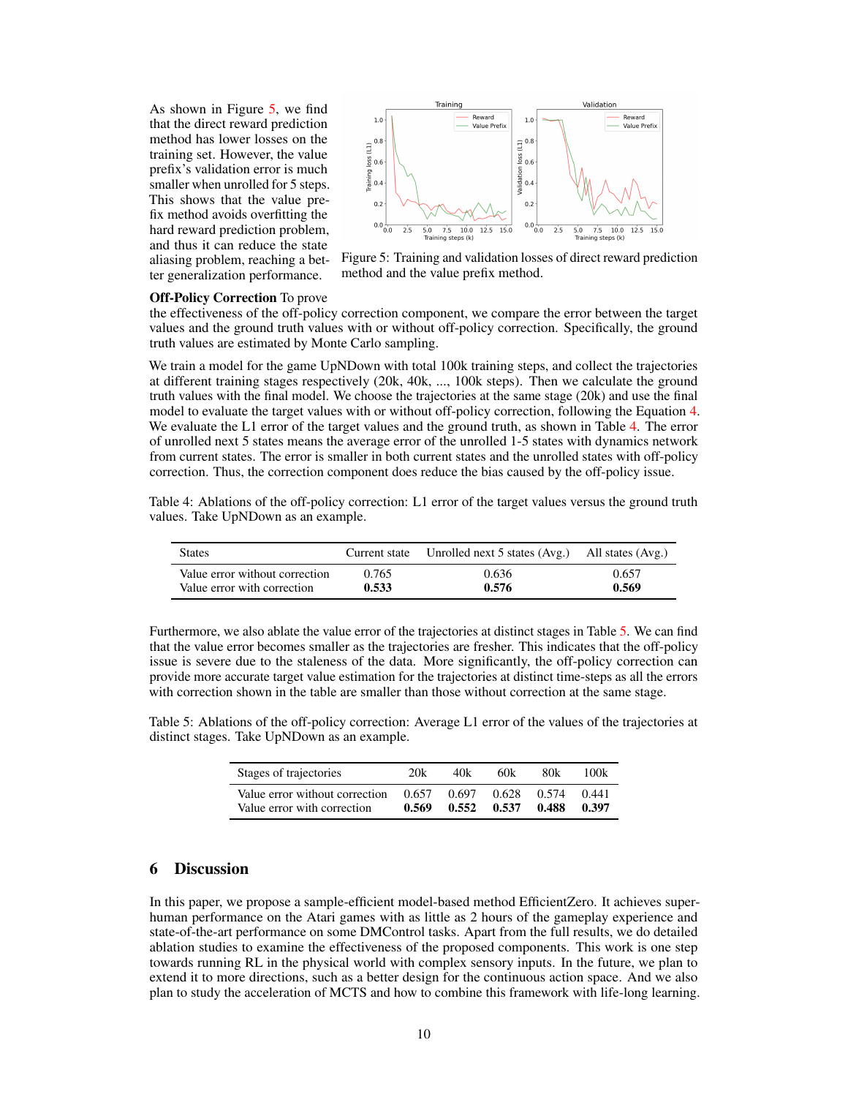As shown in Figure [5,](#page-9-0) we find that the direct reward prediction method has lower losses on the training set. However, the value prefix's validation error is much smaller when unrolled for 5 steps. This shows that the value prefix method avoids overfitting the hard reward prediction problem, and thus it can reduce the state aliasing problem, reaching a better generalization performance.

![](_page_9_Figure_1.jpeg)

<span id="page-9-0"></span>Figure 5: Training and validation losses of direct reward prediction method and the value prefix method.

#### Off-Policy Correction To prove

the effectiveness of the off-policy correction component, we compare the error between the target values and the ground truth values with or without off-policy correction. Specifically, the ground truth values are estimated by Monte Carlo sampling.

We train a model for the game UpNDown with total 100k training steps, and collect the trajectories at different training stages respectively (20k, 40k, ..., 100k steps). Then we calculate the ground truth values with the final model. We choose the trajectories at the same stage (20k) and use the final model to evaluate the target values with or without off-policy correction, following the Equation [4.](#page-5-1) We evaluate the L1 error of the target values and the ground truth, as shown in Table [4.](#page-9-1) The error of unrolled next 5 states means the average error of the unrolled 1-5 states with dynamics network from current states. The error is smaller in both current states and the unrolled states with off-policy correction. Thus, the correction component does reduce the bias caused by the off-policy issue.

<span id="page-9-1"></span>Table 4: Ablations of the off-policy correction: L1 error of the target values versus the ground truth values. Take UpNDown as an example.

| <b>States</b>                  | Current state | Unrolled next 5 states (Avg.) All states (Avg.) |       |
|--------------------------------|---------------|-------------------------------------------------|-------|
| Value error without correction | 0.765         | 0.636                                           | 0.657 |
| Value error with correction    | 0.533         | 0.576                                           | 0.569 |

Furthermore, we also ablate the value error of the trajectories at distinct stages in Table [5.](#page-9-2) We can find that the value error becomes smaller as the trajectories are fresher. This indicates that the off-policy issue is severe due to the staleness of the data. More significantly, the off-policy correction can provide more accurate target value estimation for the trajectories at distinct time-steps as all the errors with correction shown in the table are smaller than those without correction at the same stage.

<span id="page-9-2"></span>Table 5: Ablations of the off-policy correction: Average L1 error of the values of the trajectories at distinct stages. Take UpNDown as an example.

| Stages of trajectories         | 20k   | 40k   | 60k   | 80k   | 100k  |
|--------------------------------|-------|-------|-------|-------|-------|
| Value error without correction | 0.657 | 0.697 | 0.628 | 0.574 | 0.441 |
| Value error with correction    | 0.569 | 0.552 | 0.537 | 0.488 | 0.397 |

# 6 Discussion

In this paper, we propose a sample-efficient model-based method EfficientZero. It achieves superhuman performance on the Atari games with as little as 2 hours of the gameplay experience and state-of-the-art performance on some DMControl tasks. Apart from the full results, we do detailed ablation studies to examine the effectiveness of the proposed components. This work is one step towards running RL in the physical world with complex sensory inputs. In the future, we plan to extend it to more directions, such as a better design for the continuous action space. And we also plan to study the acceleration of MCTS and how to combine this framework with life-long learning.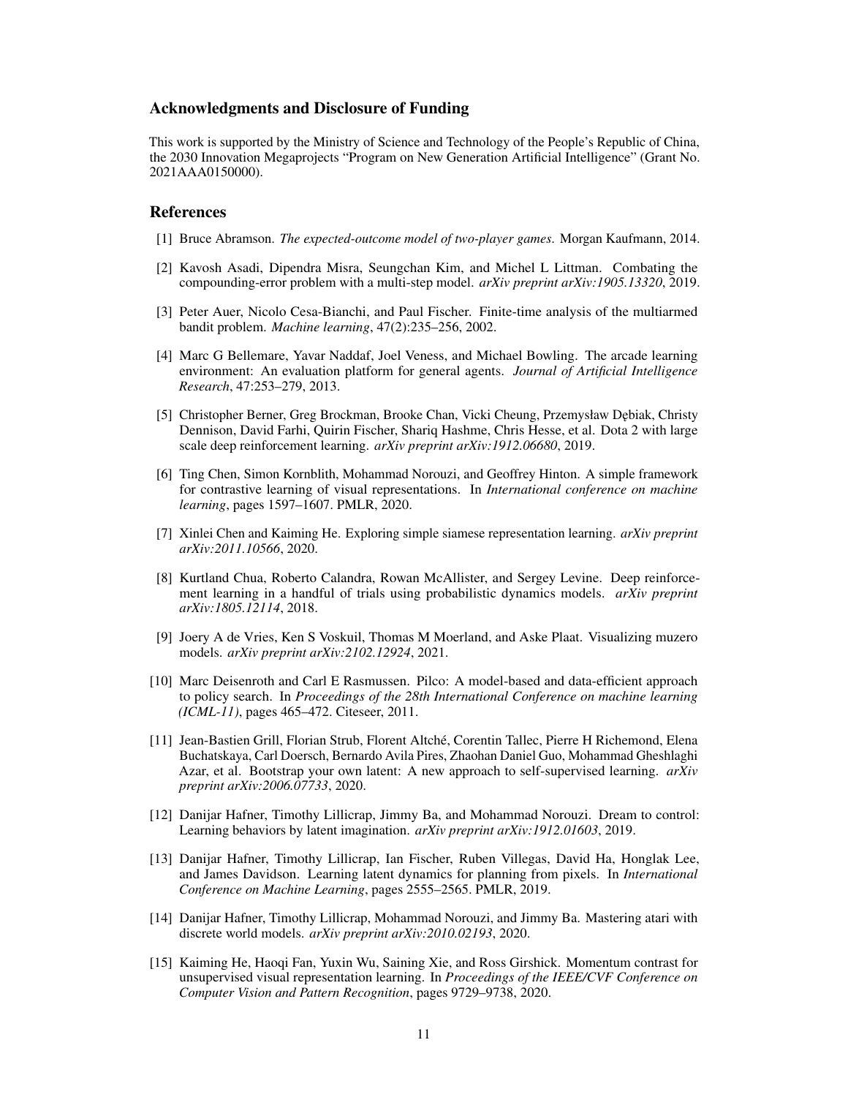## Acknowledgments and Disclosure of Funding

This work is supported by the Ministry of Science and Technology of the People's Republic of China, the 2030 Innovation Megaprojects "Program on New Generation Artificial Intelligence" (Grant No. 2021AAA0150000).

# References

- <span id="page-10-13"></span>[1] Bruce Abramson. *The expected-outcome model of two-player games*. Morgan Kaufmann, 2014.
- <span id="page-10-12"></span>[2] Kavosh Asadi, Dipendra Misra, Seungchan Kim, and Michel L Littman. Combating the compounding-error problem with a multi-step model. *arXiv preprint arXiv:1905.13320*, 2019.
- <span id="page-10-14"></span>[3] Peter Auer, Nicolo Cesa-Bianchi, and Paul Fischer. Finite-time analysis of the multiarmed bandit problem. *Machine learning*, 47(2):235–256, 2002.
- <span id="page-10-4"></span>[4] Marc G Bellemare, Yavar Naddaf, Joel Veness, and Michael Bowling. The arcade learning environment: An evaluation platform for general agents. *Journal of Artificial Intelligence Research*, 47:253–279, 2013.
- <span id="page-10-0"></span>[5] Christopher Berner, Greg Brockman, Brooke Chan, Vicki Cheung, Przemysław D˛ebiak, Christy Dennison, David Farhi, Quirin Fischer, Shariq Hashme, Chris Hesse, et al. Dota 2 with large scale deep reinforcement learning. *arXiv preprint arXiv:1912.06680*, 2019.
- <span id="page-10-7"></span>[6] Ting Chen, Simon Kornblith, Mohammad Norouzi, and Geoffrey Hinton. A simple framework for contrastive learning of visual representations. In *International conference on machine learning*, pages 1597–1607. PMLR, 2020.
- <span id="page-10-9"></span>[7] Xinlei Chen and Kaiming He. Exploring simple siamese representation learning. *arXiv preprint arXiv:2011.10566*, 2020.
- <span id="page-10-1"></span>[8] Kurtland Chua, Roberto Calandra, Rowan McAllister, and Sergey Levine. Deep reinforcement learning in a handful of trials using probabilistic dynamics models. *arXiv preprint arXiv:1805.12114*, 2018.
- <span id="page-10-11"></span>[9] Joery A de Vries, Ken S Voskuil, Thomas M Moerland, and Aske Plaat. Visualizing muzero models. *arXiv preprint arXiv:2102.12924*, 2021.
- <span id="page-10-2"></span>[10] Marc Deisenroth and Carl E Rasmussen. Pilco: A model-based and data-efficient approach to policy search. In *Proceedings of the 28th International Conference on machine learning (ICML-11)*, pages 465–472. Citeseer, 2011.
- <span id="page-10-10"></span>[11] Jean-Bastien Grill, Florian Strub, Florent Altché, Corentin Tallec, Pierre H Richemond, Elena Buchatskaya, Carl Doersch, Bernardo Avila Pires, Zhaohan Daniel Guo, Mohammad Gheshlaghi Azar, et al. Bootstrap your own latent: A new approach to self-supervised learning. *arXiv preprint arXiv:2006.07733*, 2020.
- <span id="page-10-6"></span>[12] Danijar Hafner, Timothy Lillicrap, Jimmy Ba, and Mohammad Norouzi. Dream to control: Learning behaviors by latent imagination. *arXiv preprint arXiv:1912.01603*, 2019.
- <span id="page-10-5"></span>[13] Danijar Hafner, Timothy Lillicrap, Ian Fischer, Ruben Villegas, David Ha, Honglak Lee, and James Davidson. Learning latent dynamics for planning from pixels. In *International Conference on Machine Learning*, pages 2555–2565. PMLR, 2019.
- <span id="page-10-3"></span>[14] Danijar Hafner, Timothy Lillicrap, Mohammad Norouzi, and Jimmy Ba. Mastering atari with discrete world models. *arXiv preprint arXiv:2010.02193*, 2020.
- <span id="page-10-8"></span>[15] Kaiming He, Haoqi Fan, Yuxin Wu, Saining Xie, and Ross Girshick. Momentum contrast for unsupervised visual representation learning. In *Proceedings of the IEEE/CVF Conference on Computer Vision and Pattern Recognition*, pages 9729–9738, 2020.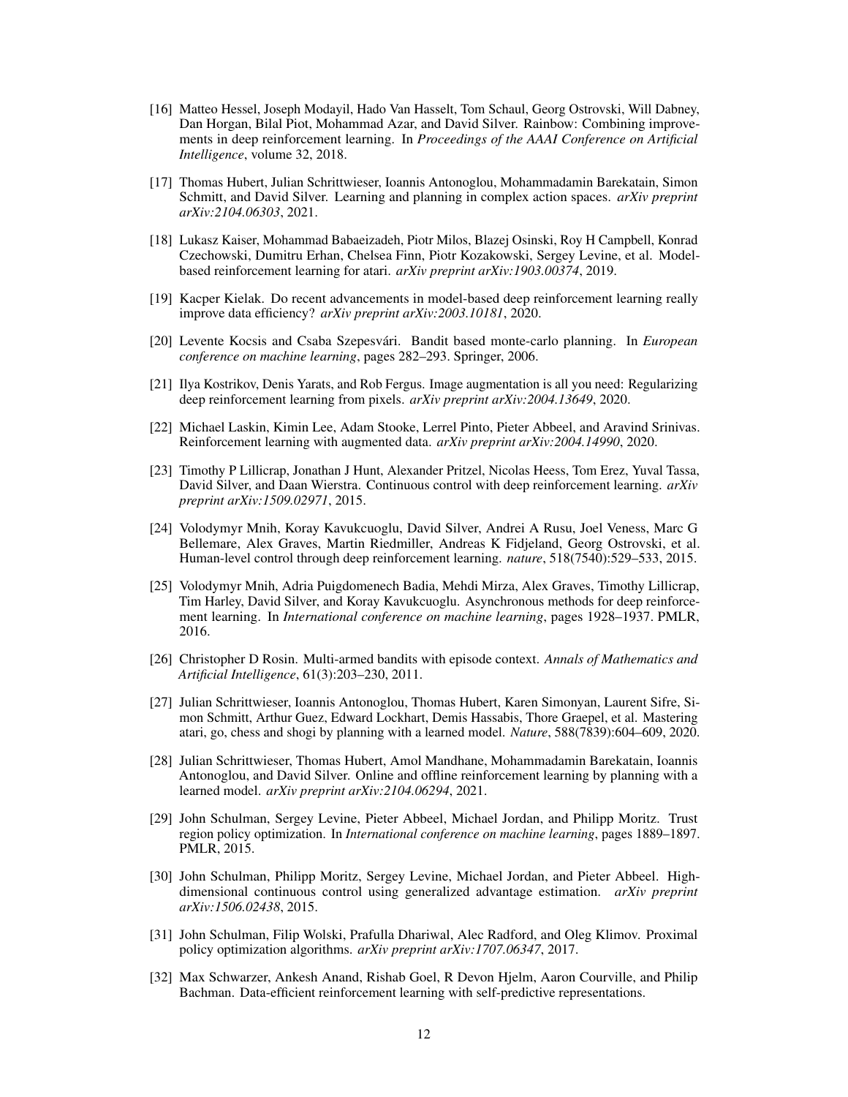- <span id="page-11-7"></span>[16] Matteo Hessel, Joseph Modayil, Hado Van Hasselt, Tom Schaul, Georg Ostrovski, Will Dabney, Dan Horgan, Bilal Piot, Mohammad Azar, and David Silver. Rainbow: Combining improvements in deep reinforcement learning. In *Proceedings of the AAAI Conference on Artificial Intelligence*, volume 32, 2018.
- <span id="page-11-12"></span>[17] Thomas Hubert, Julian Schrittwieser, Ioannis Antonoglou, Mohammadamin Barekatain, Simon Schmitt, and David Silver. Learning and planning in complex action spaces. *arXiv preprint arXiv:2104.06303*, 2021.
- <span id="page-11-4"></span>[18] Lukasz Kaiser, Mohammad Babaeizadeh, Piotr Milos, Blazej Osinski, Roy H Campbell, Konrad Czechowski, Dumitru Erhan, Chelsea Finn, Piotr Kozakowski, Sergey Levine, et al. Modelbased reinforcement learning for atari. *arXiv preprint arXiv:1903.00374*, 2019.
- <span id="page-11-6"></span>[19] Kacper Kielak. Do recent advancements in model-based deep reinforcement learning really improve data efficiency? *arXiv preprint arXiv:2003.10181*, 2020.
- <span id="page-11-16"></span>[20] Levente Kocsis and Csaba Szepesvári. Bandit based monte-carlo planning. In *European conference on machine learning*, pages 282–293. Springer, 2006.
- <span id="page-11-2"></span>[21] Ilya Kostrikov, Denis Yarats, and Rob Fergus. Image augmentation is all you need: Regularizing deep reinforcement learning from pixels. *arXiv preprint arXiv:2004.13649*, 2020.
- <span id="page-11-1"></span>[22] Michael Laskin, Kimin Lee, Adam Stooke, Lerrel Pinto, Pieter Abbeel, and Aravind Srinivas. Reinforcement learning with augmented data. *arXiv preprint arXiv:2004.14990*, 2020.
- <span id="page-11-9"></span>[23] Timothy P Lillicrap, Jonathan J Hunt, Alexander Pritzel, Nicolas Heess, Tom Erez, Yuval Tassa, David Silver, and Daan Wierstra. Continuous control with deep reinforcement learning. *arXiv preprint arXiv:1509.02971*, 2015.
- <span id="page-11-0"></span>[24] Volodymyr Mnih, Koray Kavukcuoglu, David Silver, Andrei A Rusu, Joel Veness, Marc G Bellemare, Alex Graves, Martin Riedmiller, Andreas K Fidjeland, Georg Ostrovski, et al. Human-level control through deep reinforcement learning. *nature*, 518(7540):529–533, 2015.
- <span id="page-11-8"></span>[25] Volodymyr Mnih, Adria Puigdomenech Badia, Mehdi Mirza, Alex Graves, Timothy Lillicrap, Tim Harley, David Silver, and Koray Kavukcuoglu. Asynchronous methods for deep reinforcement learning. In *International conference on machine learning*, pages 1928–1937. PMLR, 2016.
- <span id="page-11-15"></span>[26] Christopher D Rosin. Multi-armed bandits with episode context. *Annals of Mathematics and Artificial Intelligence*, 61(3):203–230, 2011.
- <span id="page-11-5"></span>[27] Julian Schrittwieser, Ioannis Antonoglou, Thomas Hubert, Karen Simonyan, Laurent Sifre, Simon Schmitt, Arthur Guez, Edward Lockhart, Demis Hassabis, Thore Graepel, et al. Mastering atari, go, chess and shogi by planning with a learned model. *Nature*, 588(7839):604–609, 2020.
- <span id="page-11-13"></span>[28] Julian Schrittwieser, Thomas Hubert, Amol Mandhane, Mohammadamin Barekatain, Ioannis Antonoglou, and David Silver. Online and offline reinforcement learning by planning with a learned model. *arXiv preprint arXiv:2104.06294*, 2021.
- <span id="page-11-10"></span>[29] John Schulman, Sergey Levine, Pieter Abbeel, Michael Jordan, and Philipp Moritz. Trust region policy optimization. In *International conference on machine learning*, pages 1889–1897. PMLR, 2015.
- <span id="page-11-14"></span>[30] John Schulman, Philipp Moritz, Sergey Levine, Michael Jordan, and Pieter Abbeel. Highdimensional continuous control using generalized advantage estimation. *arXiv preprint arXiv:1506.02438*, 2015.
- <span id="page-11-11"></span>[31] John Schulman, Filip Wolski, Prafulla Dhariwal, Alec Radford, and Oleg Klimov. Proximal policy optimization algorithms. *arXiv preprint arXiv:1707.06347*, 2017.
- <span id="page-11-3"></span>[32] Max Schwarzer, Ankesh Anand, Rishab Goel, R Devon Hjelm, Aaron Courville, and Philip Bachman. Data-efficient reinforcement learning with self-predictive representations.